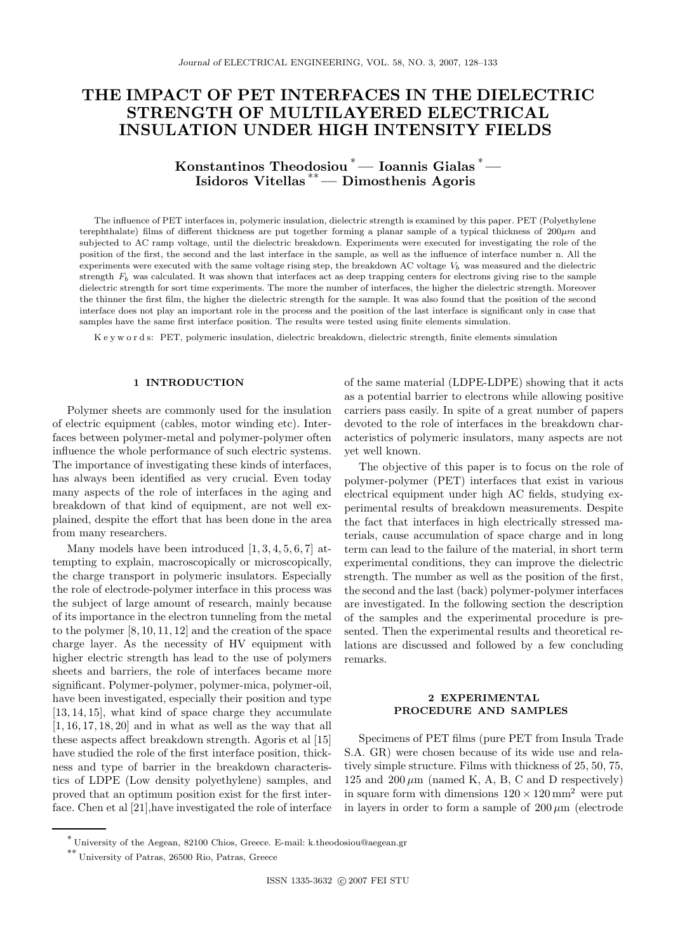# THE IMPACT OF PET INTERFACES IN THE DIELECTRIC STRENGTH OF MULTILAYERED ELECTRICAL INSULATION UNDER HIGH INTENSITY FIELDS

Konstantinos Theodosiou <sup>∗</sup>— Ioannis Gialas <sup>∗</sup>— Isidoros Vitellas ∗∗— Dimosthenis Agoris

The influence of PET interfaces in, polymeric insulation, dielectric strength is examined by this paper. PET (Polyethylene terephthalate) films of different thickness are put together forming a planar sample of a typical thickness of  $200\mu m$  and subjected to AC ramp voltage, until the dielectric breakdown. Experiments were executed for investigating the role of the position of the first, the second and the last interface in the sample, as well as the influence of interface number n. All the experiments were executed with the same voltage rising step, the breakdown AC voltage  $V_b$  was measured and the dielectric strength  $F_b$  was calculated. It was shown that interfaces act as deep trapping centers for electrons giving rise to the sample dielectric strength for sort time experiments. The more the number of interfaces, the higher the dielectric strength. Moreover the thinner the first film, the higher the dielectric strength for the sample. It was also found that the position of the second interface does not play an important role in the process and the position of the last interface is significant only in case that samples have the same first interface position. The results were tested using finite elements simulation.

K e y w o r d s: PET, polymeric insulation, dielectric breakdown, dielectric strength, finite elements simulation

## 1 INTRODUCTION

Polymer sheets are commonly used for the insulation of electric equipment (cables, motor winding etc). Interfaces between polymer-metal and polymer-polymer often influence the whole performance of such electric systems. The importance of investigating these kinds of interfaces, has always been identified as very crucial. Even today many aspects of the role of interfaces in the aging and breakdown of that kind of equipment, are not well explained, despite the effort that has been done in the area from many researchers.

Many models have been introduced [1, 3, 4, 5, 6, 7] attempting to explain, macroscopically or microscopically, the charge transport in polymeric insulators. Especially the role of electrode-polymer interface in this process was the subject of large amount of research, mainly because of its importance in the electron tunneling from the metal to the polymer [8, 10, 11, 12] and the creation of the space charge layer. As the necessity of HV equipment with higher electric strength has lead to the use of polymers sheets and barriers, the role of interfaces became more significant. Polymer-polymer, polymer-mica, polymer-oil, have been investigated, especially their position and type [13, 14, 15], what kind of space charge they accumulate  $[1, 16, 17, 18, 20]$  and in what as well as the way that all these aspects affect breakdown strength. Agoris et al [15] have studied the role of the first interface position, thickness and type of barrier in the breakdown characteristics of LDPE (Low density polyethylene) samples, and proved that an optimum position exist for the first interface. Chen et al [21],have investigated the role of interface of the same material (LDPE-LDPE) showing that it acts as a potential barrier to electrons while allowing positive carriers pass easily. In spite of a great number of papers devoted to the role of interfaces in the breakdown characteristics of polymeric insulators, many aspects are not yet well known.

The objective of this paper is to focus on the role of polymer-polymer (PET) interfaces that exist in various electrical equipment under high AC fields, studying experimental results of breakdown measurements. Despite the fact that interfaces in high electrically stressed materials, cause accumulation of space charge and in long term can lead to the failure of the material, in short term experimental conditions, they can improve the dielectric strength. The number as well as the position of the first, the second and the last (back) polymer-polymer interfaces are investigated. In the following section the description of the samples and the experimental procedure is presented. Then the experimental results and theoretical relations are discussed and followed by a few concluding remarks.

# 2 EXPERIMENTAL PROCEDURE AND SAMPLES

Specimens of PET films (pure PET from Insula Trade S.A. GR) were chosen because of its wide use and relatively simple structure. Films with thickness of 25, 50, 75, 125 and 200  $\mu$ m (named K, A, B, C and D respectively) in square form with dimensions  $120 \times 120$  mm<sup>2</sup> were put in layers in order to form a sample of  $200 \mu m$  (electrode

<sup>∗</sup> University of the Aegean, 82100 Chios, Greece. E-mail: k.theodosiou@aegean.gr

<sup>∗∗</sup> University of Patras, 26500 Rio, Patras, Greece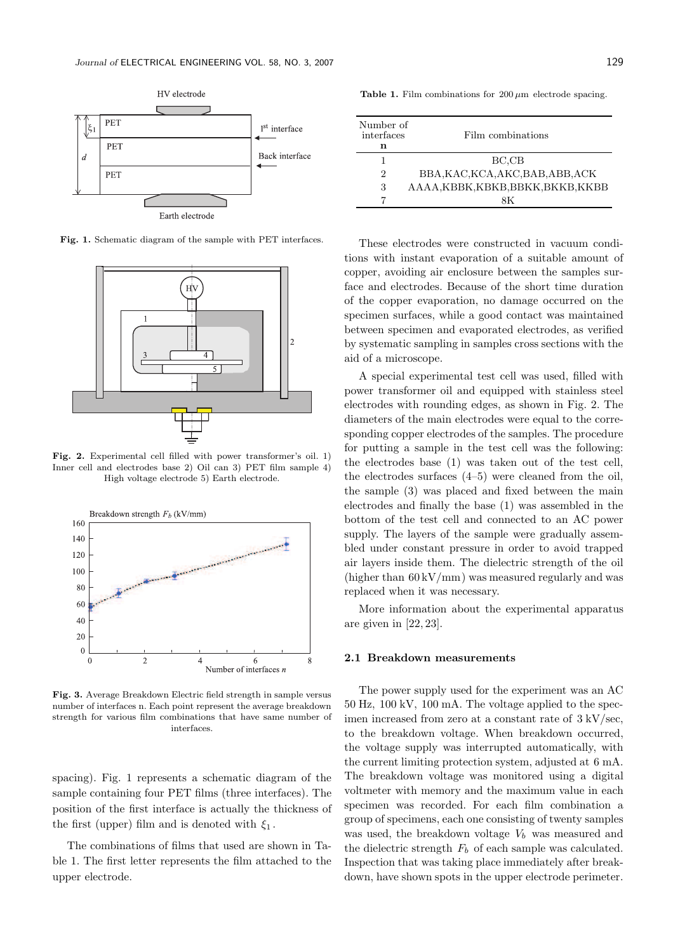

Fig. 1. Schematic diagram of the sample with PET interfaces.



Fig. 2. Experimental cell filled with power transformer's oil. 1) Inner cell and electrodes base 2) Oil can 3) PET film sample 4) High voltage electrode 5) Earth electrode.



Fig. 3. Average Breakdown Electric field strength in sample versus number of interfaces n. Each point represent the average breakdown strength for various film combinations that have same number of interfaces.

spacing). Fig. 1 represents a schematic diagram of the sample containing four PET films (three interfaces). The position of the first interface is actually the thickness of the first (upper) film and is denoted with  $\xi_1$ .

The combinations of films that used are shown in Table 1. The first letter represents the film attached to the upper electrode.

Table 1. Film combinations for  $200 \mu m$  electrode spacing.

| Number of<br>interfaces<br>n | Film combinations             |
|------------------------------|-------------------------------|
|                              | BC.CB                         |
| 2                            | BBA,KAC,KCA,AKC,BAB,ABB,ACK   |
| 3                            | AAAA,KBBK,KBKB,BBKK,BKKB,KKBB |
|                              | яĸ                            |

These electrodes were constructed in vacuum conditions with instant evaporation of a suitable amount of copper, avoiding air enclosure between the samples surface and electrodes. Because of the short time duration of the copper evaporation, no damage occurred on the specimen surfaces, while a good contact was maintained between specimen and evaporated electrodes, as verified by systematic sampling in samples cross sections with the aid of a microscope.

A special experimental test cell was used, filled with power transformer oil and equipped with stainless steel electrodes with rounding edges, as shown in Fig. 2. The diameters of the main electrodes were equal to the corresponding copper electrodes of the samples. The procedure for putting a sample in the test cell was the following: the electrodes base (1) was taken out of the test cell, the electrodes surfaces (4–5) were cleaned from the oil, the sample (3) was placed and fixed between the main electrodes and finally the base (1) was assembled in the bottom of the test cell and connected to an AC power supply. The layers of the sample were gradually assembled under constant pressure in order to avoid trapped air layers inside them. The dielectric strength of the oil (higher than  $60 \,\mathrm{kV/mm}$ ) was measured regularly and was replaced when it was necessary.

More information about the experimental apparatus are given in [22, 23].

# 2.1 Breakdown measurements

The power supply used for the experiment was an AC 50 Hz, 100 kV, 100 mA. The voltage applied to the specimen increased from zero at a constant rate of 3 kV/sec, to the breakdown voltage. When breakdown occurred, the voltage supply was interrupted automatically, with the current limiting protection system, adjusted at 6 mA. The breakdown voltage was monitored using a digital voltmeter with memory and the maximum value in each specimen was recorded. For each film combination a group of specimens, each one consisting of twenty samples was used, the breakdown voltage  $V_b$  was measured and the dielectric strength  $F_b$  of each sample was calculated. Inspection that was taking place immediately after breakdown, have shown spots in the upper electrode perimeter.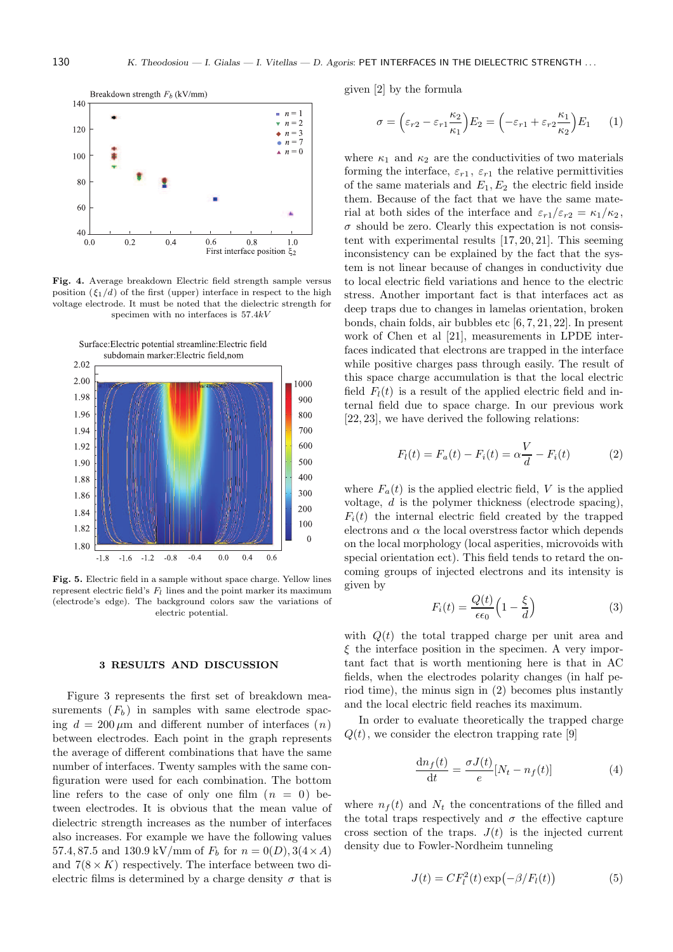130 K. Theodosiou — I. Gialas — I. Vitellas — D. Agoris: PET INTERFACES IN THE DIELECTRIC STRENGTH ...



Fig. 4. Average breakdown Electric field strength sample versus position  $(\xi_1/d)$  of the first (upper) interface in respect to the high voltage electrode. It must be noted that the dielectric strength for specimen with no interfaces is 57.4kV



Fig. 5. Electric field in a sample without space charge. Yellow lines represent electric field's  $F_l$  lines and the point marker its maximum (electrode's edge). The background colors saw the variations of electric potential.

### 3 RESULTS AND DISCUSSION

Figure 3 represents the first set of breakdown measurements  $(F_b)$  in samples with same electrode spacing  $d = 200 \,\mu\text{m}$  and different number of interfaces  $(n)$ between electrodes. Each point in the graph represents the average of different combinations that have the same number of interfaces. Twenty samples with the same configuration were used for each combination. The bottom line refers to the case of only one film  $(n = 0)$  between electrodes. It is obvious that the mean value of dielectric strength increases as the number of interfaces also increases. For example we have the following values 57.4, 87.5 and 130.9 kV/mm of  $F_b$  for  $n = 0(D)$ , 3(4 × A) and  $7(8 \times K)$  respectively. The interface between two dielectric films is determined by a charge density  $\sigma$  that is given [2] by the formula

$$
\sigma = \left(\varepsilon_{r2} - \varepsilon_{r1} \frac{\kappa_2}{\kappa_1}\right) E_2 = \left(-\varepsilon_{r1} + \varepsilon_{r2} \frac{\kappa_1}{\kappa_2}\right) E_1 \qquad (1)
$$

where  $\kappa_1$  and  $\kappa_2$  are the conductivities of two materials forming the interface,  $\varepsilon_{r1}$ ,  $\varepsilon_{r1}$  the relative permittivities of the same materials and  $E_1, E_2$  the electric field inside them. Because of the fact that we have the same material at both sides of the interface and  $\varepsilon_{r1}/\varepsilon_{r2} = \kappa_1/\kappa_2$ ,  $\sigma$  should be zero. Clearly this expectation is not consistent with experimental results [17, 20, 21]. This seeming inconsistency can be explained by the fact that the system is not linear because of changes in conductivity due to local electric field variations and hence to the electric stress. Another important fact is that interfaces act as deep traps due to changes in lamelas orientation, broken bonds, chain folds, air bubbles etc [6, 7, 21, 22]. In present work of Chen et al [21], measurements in LPDE interfaces indicated that electrons are trapped in the interface while positive charges pass through easily. The result of this space charge accumulation is that the local electric field  $F_l(t)$  is a result of the applied electric field and internal field due to space charge. In our previous work [22, 23], we have derived the following relations:

$$
F_l(t) = F_a(t) - F_i(t) = \alpha \frac{V}{d} - F_i(t)
$$
 (2)

where  $F_a(t)$  is the applied electric field, V is the applied voltage, d is the polymer thickness (electrode spacing),  $F_i(t)$  the internal electric field created by the trapped electrons and  $\alpha$  the local overstress factor which depends on the local morphology (local asperities, microvoids with special orientation ect). This field tends to retard the oncoming groups of injected electrons and its intensity is given by

$$
F_i(t) = \frac{Q(t)}{\epsilon \epsilon_0} \left( 1 - \frac{\xi}{d} \right)
$$
 (3)

with  $Q(t)$  the total trapped charge per unit area and  $\xi$  the interface position in the specimen. A very important fact that is worth mentioning here is that in AC fields, when the electrodes polarity changes (in half period time), the minus sign in (2) becomes plus instantly and the local electric field reaches its maximum.

In order to evaluate theoretically the trapped charge  $Q(t)$ , we consider the electron trapping rate [9]

$$
\frac{\mathrm{d}n_f(t)}{\mathrm{d}t} = \frac{\sigma J(t)}{e} [N_t - n_f(t)] \tag{4}
$$

where  $n_f(t)$  and  $N_t$  the concentrations of the filled and the total traps respectively and  $\sigma$  the effective capture cross section of the traps.  $J(t)$  is the injected current density due to Fowler-Nordheim tunneling

$$
J(t) = CF_l^2(t) \exp(-\beta/F_l(t))
$$
\n(5)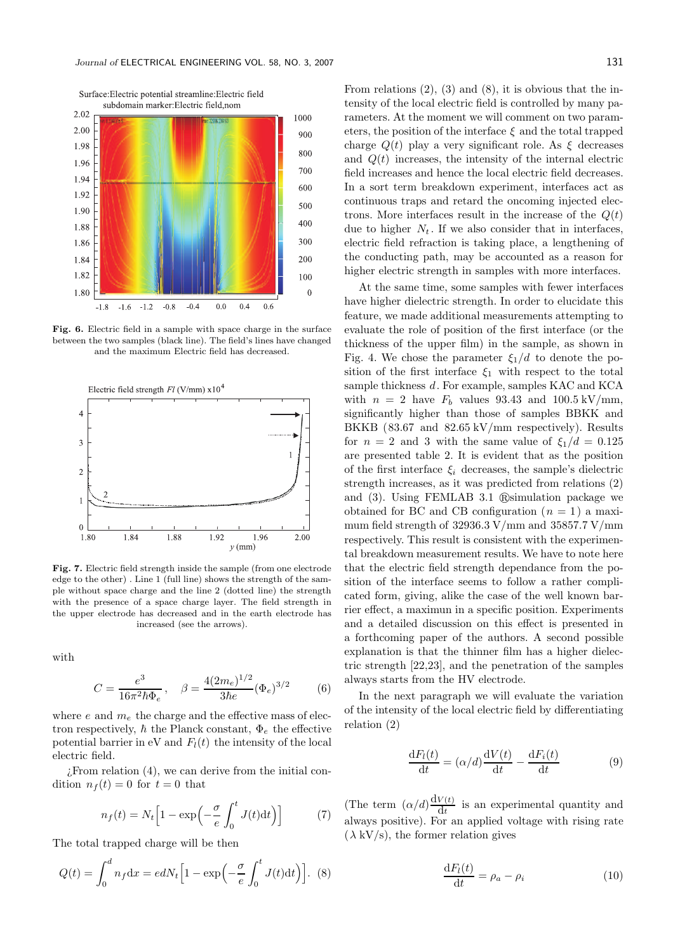

Fig. 6. Electric field in a sample with space charge in the surface between the two samples (black line). The field's lines have changed and the maximum Electric field has decreased.



Fig. 7. Electric field strength inside the sample (from one electrode edge to the other) . Line 1 (full line) shows the strength of the sample without space charge and the line 2 (dotted line) the strength with the presence of a space charge layer. The field strength in the upper electrode has decreased and in the earth electrode has increased (see the arrows).

with

$$
C = \frac{e^3}{16\pi^2 \hbar \Phi_e}, \quad \beta = \frac{4(2m_e)^{1/2}}{3\hbar e} (\Phi_e)^{3/2} \tag{6}
$$

where e and  $m_e$  the charge and the effective mass of electron respectively,  $\hbar$  the Planck constant,  $\Phi_e$  the effective potential barrier in eV and  $F_l(t)$  the intensity of the local electric field.

¿From relation (4), we can derive from the initial condition  $n_f(t) = 0$  for  $t = 0$  that

$$
n_f(t) = N_t \left[ 1 - \exp\left(-\frac{\sigma}{e} \int_0^t J(t) dt\right) \right]
$$
 (7)

The total trapped charge will be then

$$
Q(t) = \int_0^d n_f \mathrm{d}x = e dN_t \Big[ 1 - \exp\Big(-\frac{\sigma}{e} \int_0^t J(t) \mathrm{d}t \Big) \Big]. \tag{8}
$$

From relations (2), (3) and (8), it is obvious that the intensity of the local electric field is controlled by many parameters. At the moment we will comment on two parameters, the position of the interface  $\xi$  and the total trapped charge  $Q(t)$  play a very significant role. As  $\xi$  decreases and  $Q(t)$  increases, the intensity of the internal electric field increases and hence the local electric field decreases. In a sort term breakdown experiment, interfaces act as continuous traps and retard the oncoming injected electrons. More interfaces result in the increase of the  $Q(t)$ due to higher  $N_t$ . If we also consider that in interfaces, electric field refraction is taking place, a lengthening of the conducting path, may be accounted as a reason for higher electric strength in samples with more interfaces.

At the same time, some samples with fewer interfaces have higher dielectric strength. In order to elucidate this feature, we made additional measurements attempting to evaluate the role of position of the first interface (or the thickness of the upper film) in the sample, as shown in Fig. 4. We chose the parameter  $\xi_1/d$  to denote the position of the first interface  $\xi_1$  with respect to the total sample thickness d. For example, samples KAC and KCA with  $n = 2$  have  $F_b$  values 93.43 and 100.5 kV/mm, significantly higher than those of samples BBKK and BKKB (83.67 and 82.65 kV/mm respectively). Results for  $n = 2$  and 3 with the same value of  $\xi_1/d = 0.125$ are presented table 2. It is evident that as the position of the first interface  $\xi_i$  decreases, the sample's dielectric strength increases, as it was predicted from relations (2) and  $(3)$ . Using FEMLAB 3.1  $\mathbb{R}$ simulation package we obtained for BC and CB configuration  $(n = 1)$  a maximum field strength of 32936.3 V/mm and 35857.7 V/mm respectively. This result is consistent with the experimental breakdown measurement results. We have to note here that the electric field strength dependance from the position of the interface seems to follow a rather complicated form, giving, alike the case of the well known barrier effect, a maximun in a specific position. Experiments and a detailed discussion on this effect is presented in a forthcoming paper of the authors. A second possible explanation is that the thinner film has a higher dielectric strength [22,23], and the penetration of the samples always starts from the HV electrode.

In the next paragraph we will evaluate the variation of the intensity of the local electric field by differentiating relation (2)

$$
\frac{\mathrm{d}F_l(t)}{\mathrm{d}t} = (\alpha/d)\frac{\mathrm{d}V(t)}{\mathrm{d}t} - \frac{\mathrm{d}F_i(t)}{\mathrm{d}t} \tag{9}
$$

(The term  $(\alpha/d) \frac{dV(t)}{dt}$  $\frac{\partial u(t)}{\partial t}$  is an experimental quantity and always positive). For an applied voltage with rising rate  $(\lambda \text{ kV/s})$ , the former relation gives

$$
\frac{\mathrm{d}F_l(t)}{\mathrm{d}t} = \rho_a - \rho_i \tag{10}
$$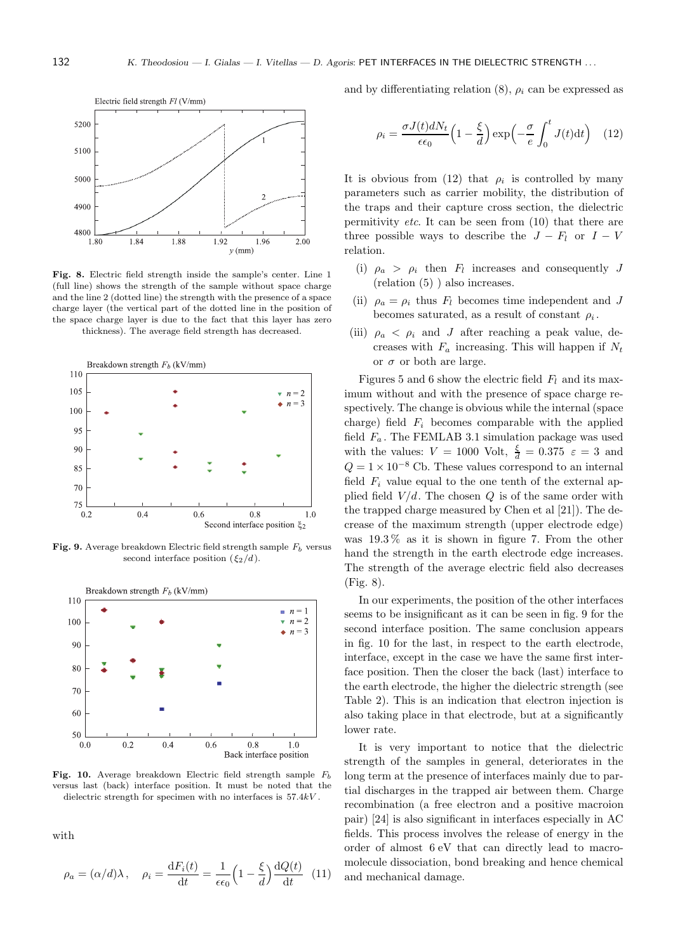

Fig. 8. Electric field strength inside the sample's center. Line 1 (full line) shows the strength of the sample without space charge and the line 2 (dotted line) the strength with the presence of a space charge layer (the vertical part of the dotted line in the position of the space charge layer is due to the fact that this layer has zero thickness). The average field strength has decreased.



Fig. 9. Average breakdown Electric field strength sample  $F_b$  versus second interface position  $({\xi_2}/d)$ .



Fig. 10. Average breakdown Electric field strength sample  $F<sub>b</sub>$ versus last (back) interface position. It must be noted that the dielectric strength for specimen with no interfaces is 57.4kV .

with

$$
\rho_a = (\alpha/d)\lambda, \quad \rho_i = \frac{\mathrm{d}F_i(t)}{\mathrm{d}t} = \frac{1}{\epsilon \epsilon_0} \left(1 - \frac{\xi}{d}\right) \frac{\mathrm{d}Q(t)}{\mathrm{d}t} \tag{11}
$$

and by differentiating relation  $(8)$ ,  $\rho_i$  can be expressed as

$$
\rho_i = \frac{\sigma J(t) dN_t}{\epsilon \epsilon_0} \left( 1 - \frac{\xi}{d} \right) \exp\left( -\frac{\sigma}{e} \int_0^t J(t) dt \right) \quad (12)
$$

It is obvious from (12) that  $\rho_i$  is controlled by many parameters such as carrier mobility, the distribution of the traps and their capture cross section, the dielectric permitivity *etc*. It can be seen from  $(10)$  that there are three possible ways to describe the  $J - F_l$  or  $I - V$ relation.

- (i)  $\rho_a > \rho_i$  then  $F_l$  increases and consequently J (relation (5) ) also increases.
- (ii)  $\rho_a = \rho_i$  thus  $F_l$  becomes time independent and J becomes saturated, as a result of constant  $\rho_i$ .
- (iii)  $\rho_a < \rho_i$  and J after reaching a peak value, decreases with  $F_a$  increasing. This will happen if  $N_t$ or  $\sigma$  or both are large.

Figures 5 and 6 show the electric field  $F_l$  and its maximum without and with the presence of space charge respectively. The change is obvious while the internal (space charge) field  $F_i$  becomes comparable with the applied field  $F_a$ . The FEMLAB 3.1 simulation package was used with the values:  $V = 1000$  Volt,  $\frac{\xi}{d} = 0.375$   $\varepsilon = 3$  and  $Q = 1 \times 10^{-8}$  Cb. These values correspond to an internal field  $F_i$  value equal to the one tenth of the external applied field  $V/d$ . The chosen Q is of the same order with the trapped charge measured by Chen et al [21]). The decrease of the maximum strength (upper electrode edge) was 19.3 % as it is shown in figure 7. From the other hand the strength in the earth electrode edge increases. The strength of the average electric field also decreases (Fig. 8).

In our experiments, the position of the other interfaces seems to be insignificant as it can be seen in fig. 9 for the second interface position. The same conclusion appears in fig. 10 for the last, in respect to the earth electrode, interface, except in the case we have the same first interface position. Then the closer the back (last) interface to the earth electrode, the higher the dielectric strength (see Table 2). This is an indication that electron injection is also taking place in that electrode, but at a significantly lower rate.

It is very important to notice that the dielectric strength of the samples in general, deteriorates in the long term at the presence of interfaces mainly due to partial discharges in the trapped air between them. Charge recombination (a free electron and a positive macroion pair) [24] is also significant in interfaces especially in AC fields. This process involves the release of energy in the order of almost 6 eV that can directly lead to macromolecule dissociation, bond breaking and hence chemical and mechanical damage.